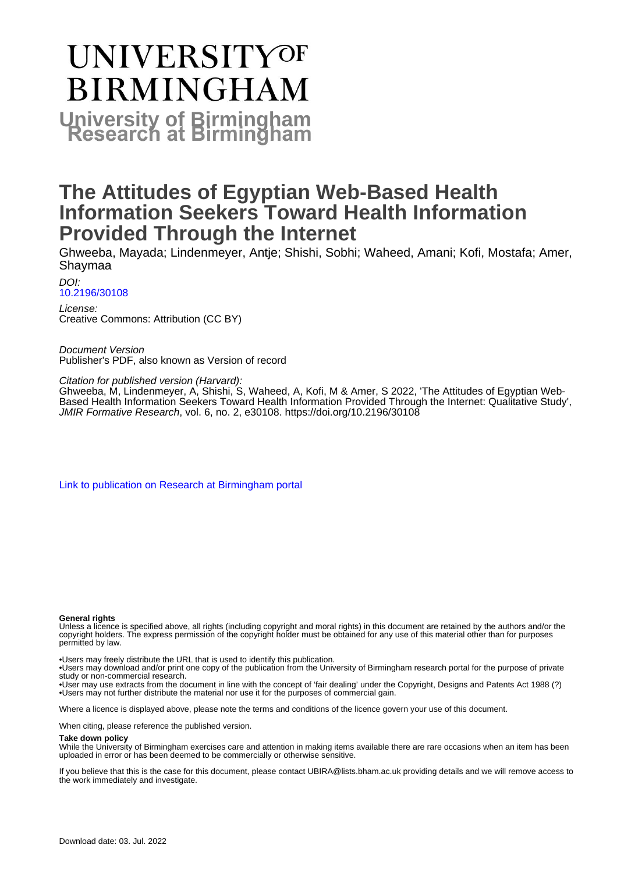# **UNIVERSITYOF BIRMINGHAM University of Birmingham**

# **The Attitudes of Egyptian Web-Based Health Information Seekers Toward Health Information Provided Through the Internet**

Ghweeba, Mayada; Lindenmeyer, Antje; Shishi, Sobhi; Waheed, Amani; Kofi, Mostafa; Amer, Shaymaa

DOI: [10.2196/30108](https://doi.org/10.2196/30108)

License: Creative Commons: Attribution (CC BY)

Document Version Publisher's PDF, also known as Version of record

Citation for published version (Harvard):

Ghweeba, M, Lindenmeyer, A, Shishi, S, Waheed, A, Kofi, M & Amer, S 2022, 'The Attitudes of Egyptian Web-Based Health Information Seekers Toward Health Information Provided Through the Internet: Qualitative Study', JMIR Formative Research, vol. 6, no. 2, e30108. <https://doi.org/10.2196/30108>

[Link to publication on Research at Birmingham portal](https://birmingham.elsevierpure.com/en/publications/65283b29-18ae-4e56-8a48-c2883f4bbbf3)

#### **General rights**

Unless a licence is specified above, all rights (including copyright and moral rights) in this document are retained by the authors and/or the copyright holders. The express permission of the copyright holder must be obtained for any use of this material other than for purposes permitted by law.

• Users may freely distribute the URL that is used to identify this publication.

• Users may download and/or print one copy of the publication from the University of Birmingham research portal for the purpose of private study or non-commercial research.

• User may use extracts from the document in line with the concept of 'fair dealing' under the Copyright, Designs and Patents Act 1988 (?) • Users may not further distribute the material nor use it for the purposes of commercial gain.

Where a licence is displayed above, please note the terms and conditions of the licence govern your use of this document.

When citing, please reference the published version.

#### **Take down policy**

While the University of Birmingham exercises care and attention in making items available there are rare occasions when an item has been uploaded in error or has been deemed to be commercially or otherwise sensitive.

If you believe that this is the case for this document, please contact UBIRA@lists.bham.ac.uk providing details and we will remove access to the work immediately and investigate.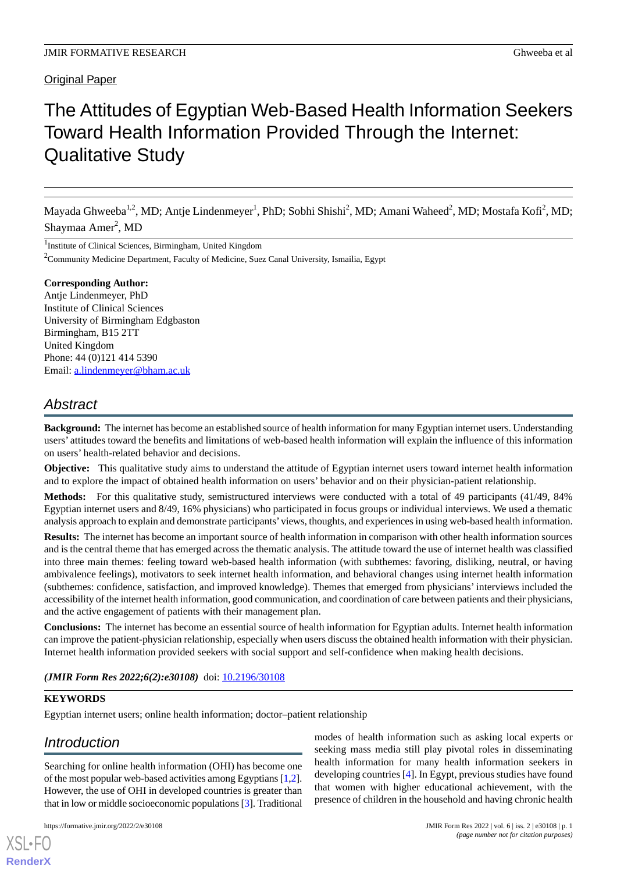#### Original Paper

# The Attitudes of Egyptian Web-Based Health Information Seekers Toward Health Information Provided Through the Internet: Qualitative Study

Mayada Ghweeba<sup>1,2</sup>, MD; Antje Lindenmeyer<sup>1</sup>, PhD; Sobhi Shishi<sup>2</sup>, MD; Amani Waheed<sup>2</sup>, MD; Mostafa Kofi<sup>2</sup>, MD; Shaymaa Amer<sup>2</sup>, MD

<sup>1</sup>Institute of Clinical Sciences, Birmingham, United Kingdom

 $2^2$ Community Medicine Department, Faculty of Medicine, Suez Canal University, Ismailia, Egypt

#### **Corresponding Author:**

Antje Lindenmeyer, PhD Institute of Clinical Sciences University of Birmingham Edgbaston Birmingham, B15 2TT United Kingdom Phone: 44 (0)121 414 5390 Email: [a.lindenmeyer@bham.ac.uk](mailto:a.lindenmeyer@bham.ac.uk)

# *Abstract*

**Background:** The internet has become an established source of health information for many Egyptian internet users. Understanding users' attitudes toward the benefits and limitations of web-based health information will explain the influence of this information on users' health-related behavior and decisions.

**Objective:** This qualitative study aims to understand the attitude of Egyptian internet users toward internet health information and to explore the impact of obtained health information on users' behavior and on their physician-patient relationship.

**Methods:** For this qualitative study, semistructured interviews were conducted with a total of 49 participants (41/49, 84% Egyptian internet users and 8/49, 16% physicians) who participated in focus groups or individual interviews. We used a thematic analysis approach to explain and demonstrate participants'views, thoughts, and experiences in using web-based health information.

**Results:** The internet has become an important source of health information in comparison with other health information sources and is the central theme that has emerged across the thematic analysis. The attitude toward the use of internet health was classified into three main themes: feeling toward web-based health information (with subthemes: favoring, disliking, neutral, or having ambivalence feelings), motivators to seek internet health information, and behavioral changes using internet health information (subthemes: confidence, satisfaction, and improved knowledge). Themes that emerged from physicians' interviews included the accessibility of the internet health information, good communication, and coordination of care between patients and their physicians, and the active engagement of patients with their management plan.

**Conclusions:** The internet has become an essential source of health information for Egyptian adults. Internet health information can improve the patient-physician relationship, especially when users discuss the obtained health information with their physician. Internet health information provided seekers with social support and self-confidence when making health decisions.

*(JMIR Form Res 2022;6(2):e30108)* doi: [10.2196/30108](http://dx.doi.org/10.2196/30108)

#### **KEYWORDS**

[XSL](http://www.w3.org/Style/XSL)•FO **[RenderX](http://www.renderx.com/)**

Egyptian internet users; online health information; doctor–patient relationship

# *Introduction*

Searching for online health information (OHI) has become one of the most popular web-based activities among Egyptians [[1,](#page-9-0)[2\]](#page-9-1). However, the use of OHI in developed countries is greater than that in low or middle socioeconomic populations [\[3\]](#page-9-2). Traditional

modes of health information such as asking local experts or seeking mass media still play pivotal roles in disseminating health information for many health information seekers in developing countries [[4\]](#page-9-3). In Egypt, previous studies have found that women with higher educational achievement, with the presence of children in the household and having chronic health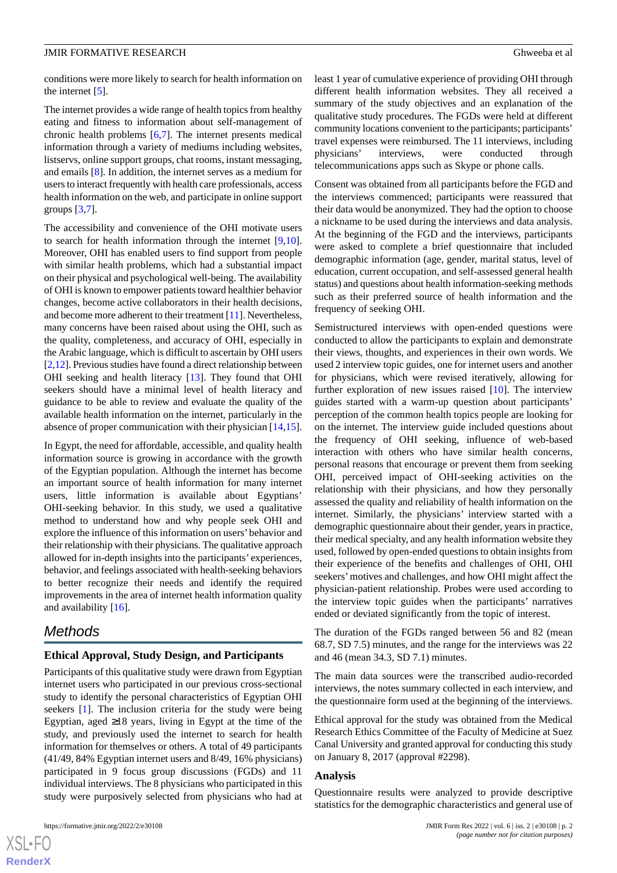conditions were more likely to search for health information on the internet [[5\]](#page-9-4).

The internet provides a wide range of health topics from healthy eating and fitness to information about self-management of chronic health problems [\[6](#page-9-5),[7\]](#page-9-6). The internet presents medical information through a variety of mediums including websites, listservs, online support groups, chat rooms, instant messaging, and emails [\[8](#page-10-0)]. In addition, the internet serves as a medium for users to interact frequently with health care professionals, access health information on the web, and participate in online support groups [[3,](#page-9-2)[7](#page-9-6)].

The accessibility and convenience of the OHI motivate users to search for health information through the internet [\[9](#page-10-1),[10\]](#page-10-2). Moreover, OHI has enabled users to find support from people with similar health problems, which had a substantial impact on their physical and psychological well-being. The availability of OHI is known to empower patients toward healthier behavior changes, become active collaborators in their health decisions, and become more adherent to their treatment [\[11](#page-10-3)]. Nevertheless, many concerns have been raised about using the OHI, such as the quality, completeness, and accuracy of OHI, especially in the Arabic language, which is difficult to ascertain by OHI users [[2,](#page-9-1)[12\]](#page-10-4). Previous studies have found a direct relationship between OHI seeking and health literacy [\[13](#page-10-5)]. They found that OHI seekers should have a minimal level of health literacy and guidance to be able to review and evaluate the quality of the available health information on the internet, particularly in the absence of proper communication with their physician [\[14](#page-10-6),[15\]](#page-10-7).

In Egypt, the need for affordable, accessible, and quality health information source is growing in accordance with the growth of the Egyptian population. Although the internet has become an important source of health information for many internet users, little information is available about Egyptians' OHI-seeking behavior. In this study, we used a qualitative method to understand how and why people seek OHI and explore the influence of this information on users'behavior and their relationship with their physicians. The qualitative approach allowed for in-depth insights into the participants' experiences, behavior, and feelings associated with health-seeking behaviors to better recognize their needs and identify the required improvements in the area of internet health information quality and availability [[16\]](#page-10-8).

## *Methods*

#### **Ethical Approval, Study Design, and Participants**

Participants of this qualitative study were drawn from Egyptian internet users who participated in our previous cross-sectional study to identify the personal characteristics of Egyptian OHI seekers [\[1](#page-9-0)]. The inclusion criteria for the study were being Egyptian, aged ≥18 years, living in Egypt at the time of the study, and previously used the internet to search for health information for themselves or others. A total of 49 participants (41/49, 84% Egyptian internet users and 8/49, 16% physicians) participated in 9 focus group discussions (FGDs) and 11 individual interviews. The 8 physicians who participated in this study were purposively selected from physicians who had at

least 1 year of cumulative experience of providing OHI through different health information websites. They all received a summary of the study objectives and an explanation of the qualitative study procedures. The FGDs were held at different community locations convenient to the participants; participants' travel expenses were reimbursed. The 11 interviews, including physicians' interviews, were conducted through telecommunications apps such as Skype or phone calls.

Consent was obtained from all participants before the FGD and the interviews commenced; participants were reassured that their data would be anonymized. They had the option to choose a nickname to be used during the interviews and data analysis. At the beginning of the FGD and the interviews, participants were asked to complete a brief questionnaire that included demographic information (age, gender, marital status, level of education, current occupation, and self-assessed general health status) and questions about health information-seeking methods such as their preferred source of health information and the frequency of seeking OHI.

Semistructured interviews with open-ended questions were conducted to allow the participants to explain and demonstrate their views, thoughts, and experiences in their own words. We used 2 interview topic guides, one for internet users and another for physicians, which were revised iteratively, allowing for further exploration of new issues raised [[10\]](#page-10-2). The interview guides started with a warm-up question about participants' perception of the common health topics people are looking for on the internet. The interview guide included questions about the frequency of OHI seeking, influence of web-based interaction with others who have similar health concerns, personal reasons that encourage or prevent them from seeking OHI, perceived impact of OHI-seeking activities on the relationship with their physicians, and how they personally assessed the quality and reliability of health information on the internet. Similarly, the physicians' interview started with a demographic questionnaire about their gender, years in practice, their medical specialty, and any health information website they used, followed by open-ended questions to obtain insights from their experience of the benefits and challenges of OHI, OHI seekers'motives and challenges, and how OHI might affect the physician-patient relationship. Probes were used according to the interview topic guides when the participants' narratives ended or deviated significantly from the topic of interest.

The duration of the FGDs ranged between 56 and 82 (mean 68.7, SD 7.5) minutes, and the range for the interviews was 22 and 46 (mean 34.3, SD 7.1) minutes.

The main data sources were the transcribed audio-recorded interviews, the notes summary collected in each interview, and the questionnaire form used at the beginning of the interviews.

Ethical approval for the study was obtained from the Medical Research Ethics Committee of the Faculty of Medicine at Suez Canal University and granted approval for conducting this study on January 8, 2017 (approval #2298).

#### **Analysis**

Questionnaire results were analyzed to provide descriptive statistics for the demographic characteristics and general use of

 $XS$  $\cdot$ FC **[RenderX](http://www.renderx.com/)**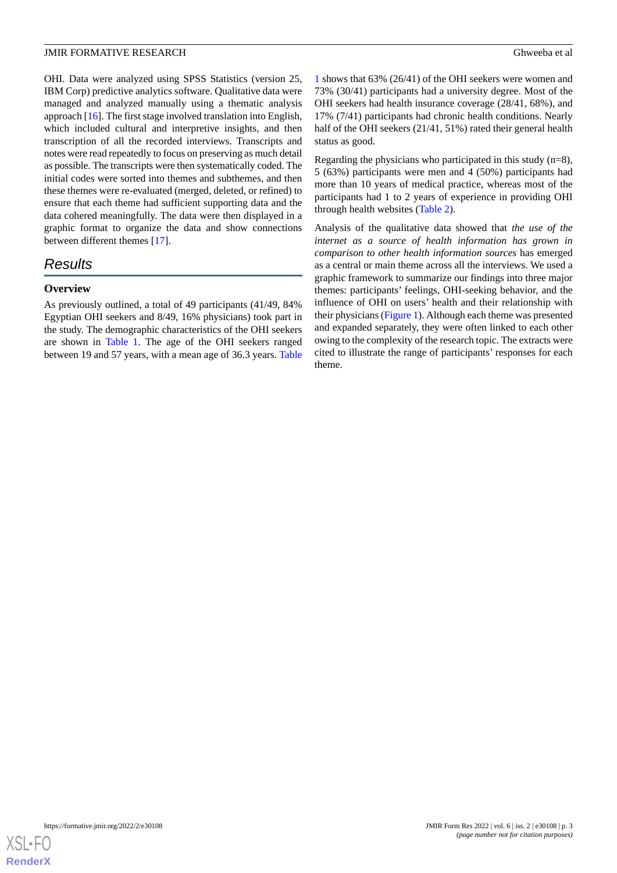OHI. Data were analyzed using SPSS Statistics (version 25, IBM Corp) predictive analytics software. Qualitative data were managed and analyzed manually using a thematic analysis approach [\[16](#page-10-8)]. The first stage involved translation into English, which included cultural and interpretive insights, and then transcription of all the recorded interviews. Transcripts and notes were read repeatedly to focus on preserving as much detail as possible. The transcripts were then systematically coded. The initial codes were sorted into themes and subthemes, and then these themes were re-evaluated (merged, deleted, or refined) to ensure that each theme had sufficient supporting data and the data cohered meaningfully. The data were then displayed in a graphic format to organize the data and show connections between different themes [\[17](#page-10-9)].

# *Results*

#### **Overview**

As previously outlined, a total of 49 participants (41/49, 84% Egyptian OHI seekers and 8/49, 16% physicians) took part in the study. The demographic characteristics of the OHI seekers are shown in [Table 1](#page-4-0). The age of the OHI seekers ranged between 19 and 57 years, with a mean age of 36.3 years. [Table](#page-4-0)

[1](#page-4-0) shows that 63% (26/41) of the OHI seekers were women and 73% (30/41) participants had a university degree. Most of the OHI seekers had health insurance coverage (28/41, 68%), and 17% (7/41) participants had chronic health conditions. Nearly half of the OHI seekers (21/41, 51%) rated their general health status as good.

Regarding the physicians who participated in this study  $(n=8)$ , 5 (63%) participants were men and 4 (50%) participants had more than 10 years of medical practice, whereas most of the participants had 1 to 2 years of experience in providing OHI through health websites [\(Table 2\)](#page-5-0).

Analysis of the qualitative data showed that *the use of the internet as a source of health information has grown in comparison to other health information sources* has emerged as a central or main theme across all the interviews. We used a graphic framework to summarize our findings into three major themes: participants' feelings, OHI-seeking behavior, and the influence of OHI on users' health and their relationship with their physicians ([Figure 1\)](#page-5-1). Although each theme was presented and expanded separately, they were often linked to each other owing to the complexity of the research topic. The extracts were cited to illustrate the range of participants' responses for each theme.

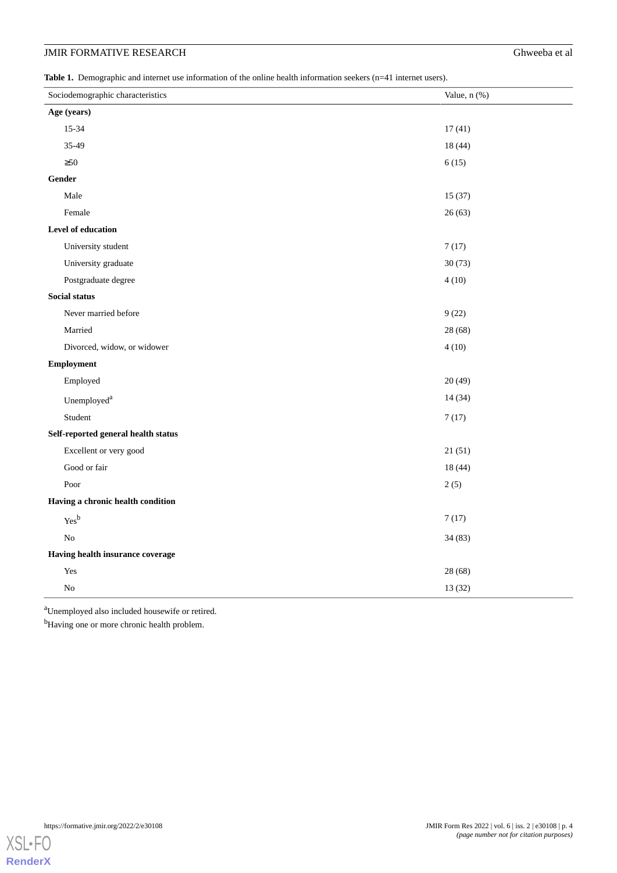<span id="page-4-0"></span>**Table 1.** Demographic and internet use information of the online health information seekers (n=41 internet users).

| Sociodemographic characteristics                                | Value, n (%) |
|-----------------------------------------------------------------|--------------|
| Age (years)                                                     |              |
| 15-34                                                           | 17(41)       |
| 35-49                                                           | 18 (44)      |
| $\geq 50$                                                       | 6(15)        |
| Gender                                                          |              |
| Male                                                            | 15(37)       |
| Female                                                          | 26(63)       |
| Level of education                                              |              |
| University student                                              | 7(17)        |
| University graduate                                             | 30(73)       |
| Postgraduate degree                                             | 4(10)        |
| Social status                                                   |              |
| Never married before                                            | 9(22)        |
| Married                                                         | 28 (68)      |
| Divorced, widow, or widower                                     | 4(10)        |
| <b>Employment</b>                                               |              |
| Employed                                                        | 20(49)       |
| Unemployed <sup>a</sup>                                         | 14(34)       |
| Student                                                         | 7(17)        |
| Self-reported general health status                             |              |
| Excellent or very good                                          | 21(51)       |
| Good or fair                                                    | 18(44)       |
| Poor                                                            | 2(5)         |
| Having a chronic health condition                               |              |
| $\mathop{\mathrm{Yes}}\nolimits^{\mathop{\mathrm{b}\nolimits}}$ | 7(17)        |
| ${\rm No}$                                                      | 34(83)       |
| Having health insurance coverage                                |              |
| Yes                                                             | 28 (68)      |
| No                                                              | 13 (32)      |

<sup>a</sup>Unemployed also included housewife or retired.

<sup>b</sup>Having one or more chronic health problem.

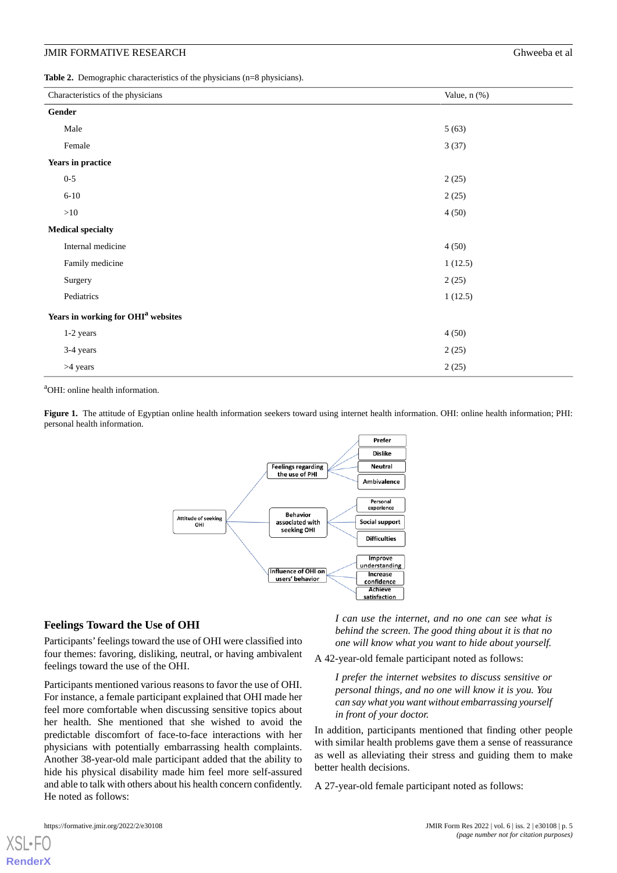<span id="page-5-0"></span>**Table 2.** Demographic characteristics of the physicians (n=8 physicians).

| Characteristics of the physicians              | Value, n (%) |
|------------------------------------------------|--------------|
| Gender                                         |              |
| Male                                           | 5(63)        |
| Female                                         | 3(37)        |
| Years in practice                              |              |
| $0 - 5$                                        | 2(25)        |
| $6 - 10$                                       | 2(25)        |
| >10                                            | 4(50)        |
| <b>Medical specialty</b>                       |              |
| Internal medicine                              | 4(50)        |
| Family medicine                                | 1(12.5)      |
| Surgery                                        | 2(25)        |
| Pediatrics                                     | 1(12.5)      |
| Years in working for OHI <sup>a</sup> websites |              |
| 1-2 years                                      | 4(50)        |
| 3-4 years                                      | 2(25)        |
| >4 years                                       | 2(25)        |

<span id="page-5-1"></span><sup>a</sup>OHI: online health information.

**Figure 1.** The attitude of Egyptian online health information seekers toward using internet health information. OHI: online health information; PHI: personal health information.



#### **Feelings Toward the Use of OHI**

Participants'feelings toward the use of OHI were classified into four themes: favoring, disliking, neutral, or having ambivalent feelings toward the use of the OHI.

Participants mentioned various reasons to favor the use of OHI. For instance, a female participant explained that OHI made her feel more comfortable when discussing sensitive topics about her health. She mentioned that she wished to avoid the predictable discomfort of face-to-face interactions with her physicians with potentially embarrassing health complaints. Another 38-year-old male participant added that the ability to hide his physical disability made him feel more self-assured and able to talk with others about his health concern confidently. He noted as follows:

*I can use the internet, and no one can see what is behind the screen. The good thing about it is that no one will know what you want to hide about yourself.*

A 42-year-old female participant noted as follows:

*I prefer the internet websites to discuss sensitive or personal things, and no one will know it is you. You can say what you want without embarrassing yourself in front of your doctor.*

In addition, participants mentioned that finding other people with similar health problems gave them a sense of reassurance as well as alleviating their stress and guiding them to make better health decisions.

A 27-year-old female participant noted as follows:

[XSL](http://www.w3.org/Style/XSL)•FO **[RenderX](http://www.renderx.com/)**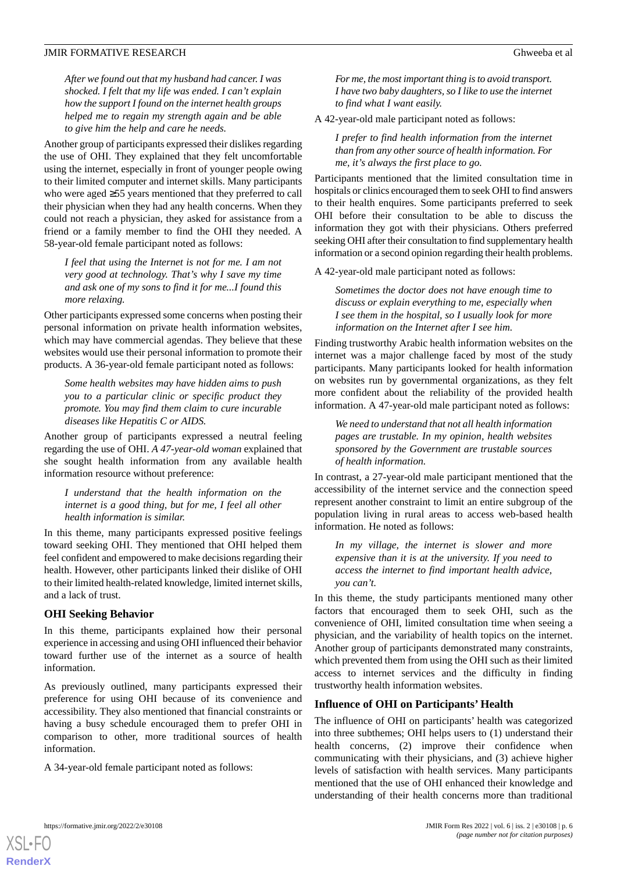*After we found out that my husband had cancer. I was shocked. I felt that my life was ended. I can't explain how the support I found on the internet health groups helped me to regain my strength again and be able to give him the help and care he needs.*

Another group of participants expressed their dislikes regarding the use of OHI. They explained that they felt uncomfortable using the internet, especially in front of younger people owing to their limited computer and internet skills. Many participants who were aged ≥55 years mentioned that they preferred to call their physician when they had any health concerns. When they could not reach a physician, they asked for assistance from a friend or a family member to find the OHI they needed. A 58-year-old female participant noted as follows:

*I feel that using the Internet is not for me. I am not very good at technology. That's why I save my time and ask one of my sons to find it for me...I found this more relaxing.*

Other participants expressed some concerns when posting their personal information on private health information websites, which may have commercial agendas. They believe that these websites would use their personal information to promote their products. A 36-year-old female participant noted as follows:

*Some health websites may have hidden aims to push you to a particular clinic or specific product they promote. You may find them claim to cure incurable diseases like Hepatitis C or AIDS.*

Another group of participants expressed a neutral feeling regarding the use of OHI. *A 47-year-old woman* explained that she sought health information from any available health information resource without preference:

*I understand that the health information on the internet is a good thing, but for me, I feel all other health information is similar.*

In this theme, many participants expressed positive feelings toward seeking OHI. They mentioned that OHI helped them feel confident and empowered to make decisions regarding their health. However, other participants linked their dislike of OHI to their limited health-related knowledge, limited internet skills, and a lack of trust.

#### **OHI Seeking Behavior**

In this theme, participants explained how their personal experience in accessing and using OHI influenced their behavior toward further use of the internet as a source of health information.

As previously outlined, many participants expressed their preference for using OHI because of its convenience and accessibility. They also mentioned that financial constraints or having a busy schedule encouraged them to prefer OHI in comparison to other, more traditional sources of health information.

A 34-year-old female participant noted as follows:

*For me, the most important thing is to avoid transport. I have two baby daughters, so I like to use the internet to find what I want easily.*

A 42-year-old male participant noted as follows:

*I prefer to find health information from the internet than from any other source of health information. For me, it's always the first place to go.*

Participants mentioned that the limited consultation time in hospitals or clinics encouraged them to seek OHI to find answers to their health enquires. Some participants preferred to seek OHI before their consultation to be able to discuss the information they got with their physicians. Others preferred seeking OHI after their consultation to find supplementary health information or a second opinion regarding their health problems.

A 42-year-old male participant noted as follows:

*Sometimes the doctor does not have enough time to discuss or explain everything to me, especially when I see them in the hospital, so I usually look for more information on the Internet after I see him.*

Finding trustworthy Arabic health information websites on the internet was a major challenge faced by most of the study participants. Many participants looked for health information on websites run by governmental organizations, as they felt more confident about the reliability of the provided health information. A 47-year-old male participant noted as follows:

*We need to understand that not all health information pages are trustable. In my opinion, health websites sponsored by the Government are trustable sources of health information.*

In contrast, a 27-year-old male participant mentioned that the accessibility of the internet service and the connection speed represent another constraint to limit an entire subgroup of the population living in rural areas to access web-based health information. He noted as follows:

*In my village, the internet is slower and more expensive than it is at the university. If you need to access the internet to find important health advice, you can't.*

In this theme, the study participants mentioned many other factors that encouraged them to seek OHI, such as the convenience of OHI, limited consultation time when seeing a physician, and the variability of health topics on the internet. Another group of participants demonstrated many constraints, which prevented them from using the OHI such as their limited access to internet services and the difficulty in finding trustworthy health information websites.

#### **Influence of OHI on Participants' Health**

The influence of OHI on participants' health was categorized into three subthemes; OHI helps users to (1) understand their health concerns, (2) improve their confidence when communicating with their physicians, and (3) achieve higher levels of satisfaction with health services. Many participants mentioned that the use of OHI enhanced their knowledge and understanding of their health concerns more than traditional

```
XSL•FO
RenderX
```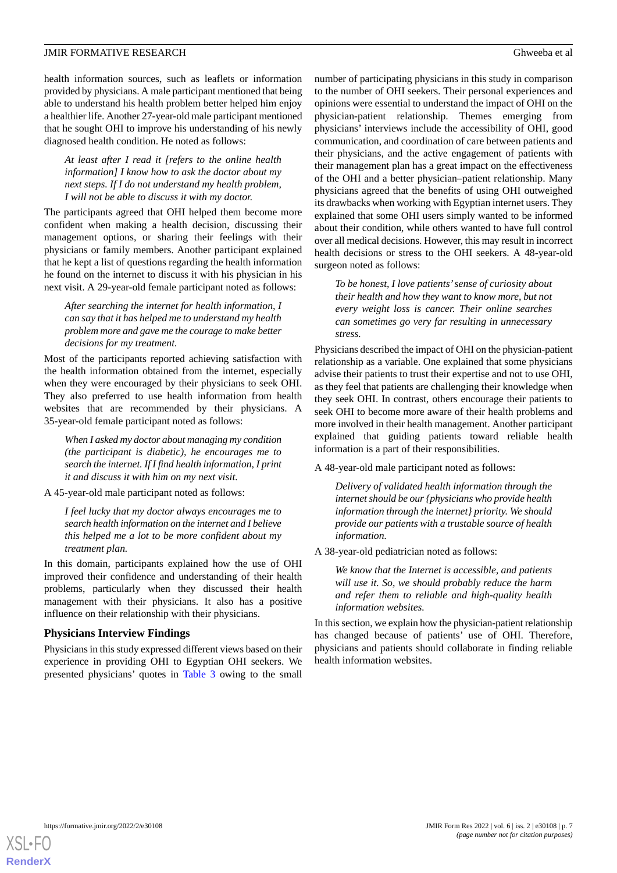health information sources, such as leaflets or information provided by physicians. A male participant mentioned that being able to understand his health problem better helped him enjoy a healthier life. Another 27-year-old male participant mentioned that he sought OHI to improve his understanding of his newly diagnosed health condition. He noted as follows:

*At least after I read it [refers to the online health information] I know how to ask the doctor about my next steps. If I do not understand my health problem, I will not be able to discuss it with my doctor.*

The participants agreed that OHI helped them become more confident when making a health decision, discussing their management options, or sharing their feelings with their physicians or family members. Another participant explained that he kept a list of questions regarding the health information he found on the internet to discuss it with his physician in his next visit. A 29-year-old female participant noted as follows:

*After searching the internet for health information, I can say that it has helped me to understand my health problem more and gave me the courage to make better decisions for my treatment.*

Most of the participants reported achieving satisfaction with the health information obtained from the internet, especially when they were encouraged by their physicians to seek OHI. They also preferred to use health information from health websites that are recommended by their physicians. A 35-year-old female participant noted as follows:

*When I asked my doctor about managing my condition (the participant is diabetic), he encourages me to search the internet. If I find health information, I print it and discuss it with him on my next visit.*

A 45-year-old male participant noted as follows:

*I feel lucky that my doctor always encourages me to search health information on the internet and I believe this helped me a lot to be more confident about my treatment plan.*

In this domain, participants explained how the use of OHI improved their confidence and understanding of their health problems, particularly when they discussed their health management with their physicians. It also has a positive influence on their relationship with their physicians.

#### **Physicians Interview Findings**

Physicians in this study expressed different views based on their experience in providing OHI to Egyptian OHI seekers. We presented physicians' quotes in [Table 3](#page-8-0) owing to the small

number of participating physicians in this study in comparison to the number of OHI seekers. Their personal experiences and opinions were essential to understand the impact of OHI on the physician-patient relationship. Themes emerging from physicians' interviews include the accessibility of OHI, good communication, and coordination of care between patients and their physicians, and the active engagement of patients with their management plan has a great impact on the effectiveness of the OHI and a better physician–patient relationship. Many physicians agreed that the benefits of using OHI outweighed its drawbacks when working with Egyptian internet users. They explained that some OHI users simply wanted to be informed about their condition, while others wanted to have full control over all medical decisions. However, this may result in incorrect health decisions or stress to the OHI seekers. A 48-year-old surgeon noted as follows:

*To be honest, I love patients'sense of curiosity about their health and how they want to know more, but not every weight loss is cancer. Their online searches can sometimes go very far resulting in unnecessary stress.*

Physicians described the impact of OHI on the physician-patient relationship as a variable. One explained that some physicians advise their patients to trust their expertise and not to use OHI, as they feel that patients are challenging their knowledge when they seek OHI. In contrast, others encourage their patients to seek OHI to become more aware of their health problems and more involved in their health management. Another participant explained that guiding patients toward reliable health information is a part of their responsibilities.

A 48-year-old male participant noted as follows:

*Delivery of validated health information through the internet should be our {physicians who provide health information through the internet} priority. We should provide our patients with a trustable source of health information.*

A 38-year-old pediatrician noted as follows:

*We know that the Internet is accessible, and patients will use it. So, we should probably reduce the harm and refer them to reliable and high-quality health information websites.*

In this section, we explain how the physician-patient relationship has changed because of patients' use of OHI. Therefore, physicians and patients should collaborate in finding reliable health information websites.

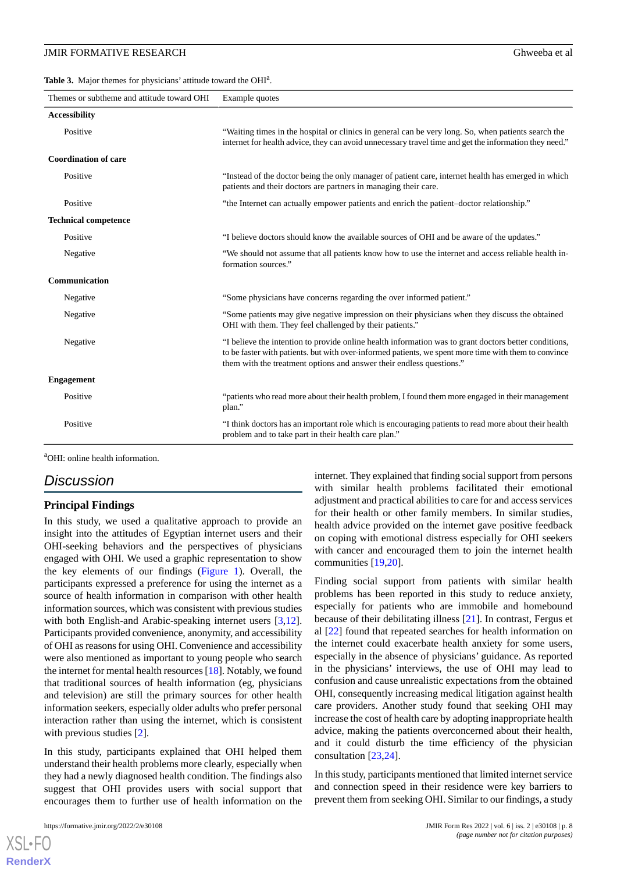<span id="page-8-0"></span>Table 3. Major themes for physicians' attitude toward the OHI<sup>a</sup>.

| "Waiting times in the hospital or clinics in general can be very long. So, when patients search the<br>internet for health advice, they can avoid unnecessary travel time and get the information they need."                                                                          |
|----------------------------------------------------------------------------------------------------------------------------------------------------------------------------------------------------------------------------------------------------------------------------------------|
|                                                                                                                                                                                                                                                                                        |
| "Instead of the doctor being the only manager of patient care, internet health has emerged in which<br>patients and their doctors are partners in managing their care.                                                                                                                 |
| "the Internet can actually empower patients and enrich the patient-doctor relationship."                                                                                                                                                                                               |
|                                                                                                                                                                                                                                                                                        |
| "I believe doctors should know the available sources of OHI and be aware of the updates."                                                                                                                                                                                              |
| "We should not assume that all patients know how to use the internet and access reliable health in-<br>formation sources."                                                                                                                                                             |
|                                                                                                                                                                                                                                                                                        |
| "Some physicians have concerns regarding the over informed patient."                                                                                                                                                                                                                   |
| "Some patients may give negative impression on their physicians when they discuss the obtained<br>OHI with them. They feel challenged by their patients."                                                                                                                              |
| "I believe the intention to provide online health information was to grant doctors better conditions,<br>to be faster with patients, but with over-informed patients, we spent more time with them to convince<br>them with the treatment options and answer their endless questions." |
|                                                                                                                                                                                                                                                                                        |
| "patients who read more about their health problem, I found them more engaged in their management<br>plan."                                                                                                                                                                            |
| "I think doctors has an important role which is encouraging patients to read more about their health<br>problem and to take part in their health care plan."                                                                                                                           |
|                                                                                                                                                                                                                                                                                        |

<sup>a</sup>OHI: online health information.

## *Discussion*

#### **Principal Findings**

In this study, we used a qualitative approach to provide an insight into the attitudes of Egyptian internet users and their OHI-seeking behaviors and the perspectives of physicians engaged with OHI. We used a graphic representation to show the key elements of our findings [\(Figure 1\)](#page-5-1). Overall, the participants expressed a preference for using the internet as a source of health information in comparison with other health information sources, which was consistent with previous studies with both English-and Arabic-speaking internet users [\[3](#page-9-2),[12\]](#page-10-4). Participants provided convenience, anonymity, and accessibility of OHI as reasons for using OHI. Convenience and accessibility were also mentioned as important to young people who search the internet for mental health resources [\[18](#page-10-10)]. Notably, we found that traditional sources of health information (eg, physicians and television) are still the primary sources for other health information seekers, especially older adults who prefer personal interaction rather than using the internet, which is consistent with previous studies [\[2](#page-9-1)].

In this study, participants explained that OHI helped them understand their health problems more clearly, especially when they had a newly diagnosed health condition. The findings also suggest that OHI provides users with social support that encourages them to further use of health information on the

 $X$ SL•F $O$ **[RenderX](http://www.renderx.com/)** internet. They explained that finding social support from persons with similar health problems facilitated their emotional adjustment and practical abilities to care for and access services for their health or other family members. In similar studies, health advice provided on the internet gave positive feedback on coping with emotional distress especially for OHI seekers with cancer and encouraged them to join the internet health communities [\[19](#page-10-11),[20\]](#page-10-12).

Finding social support from patients with similar health problems has been reported in this study to reduce anxiety, especially for patients who are immobile and homebound because of their debilitating illness [[21\]](#page-10-13). In contrast, Fergus et al [\[22](#page-10-14)] found that repeated searches for health information on the internet could exacerbate health anxiety for some users, especially in the absence of physicians' guidance. As reported in the physicians' interviews, the use of OHI may lead to confusion and cause unrealistic expectations from the obtained OHI, consequently increasing medical litigation against health care providers. Another study found that seeking OHI may increase the cost of health care by adopting inappropriate health advice, making the patients overconcerned about their health, and it could disturb the time efficiency of the physician consultation [\[23](#page-10-15),[24\]](#page-10-16).

In this study, participants mentioned that limited internet service and connection speed in their residence were key barriers to prevent them from seeking OHI. Similar to our findings, a study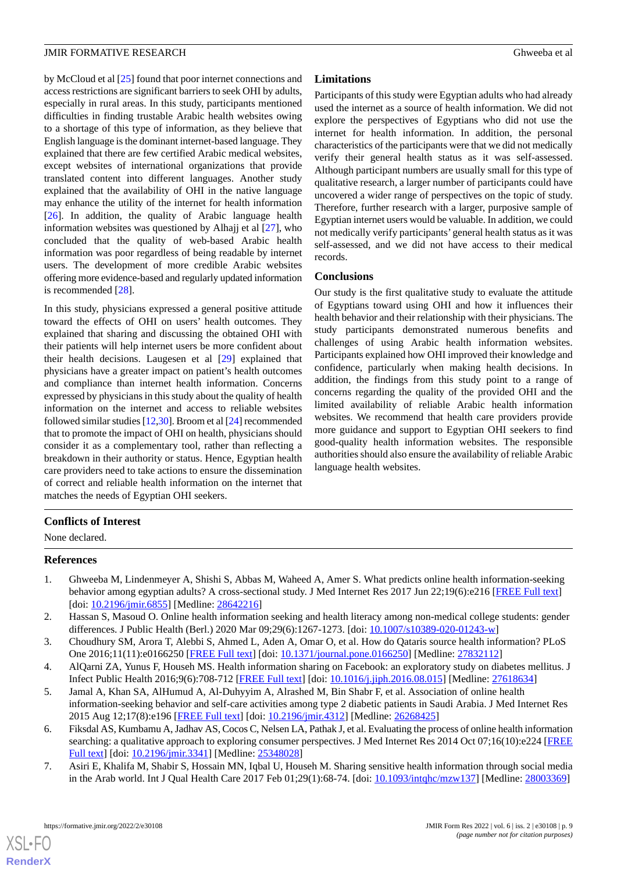by McCloud et al [\[25](#page-10-17)] found that poor internet connections and access restrictions are significant barriers to seek OHI by adults, especially in rural areas. In this study, participants mentioned difficulties in finding trustable Arabic health websites owing to a shortage of this type of information, as they believe that English language is the dominant internet-based language. They explained that there are few certified Arabic medical websites, except websites of international organizations that provide translated content into different languages. Another study explained that the availability of OHI in the native language may enhance the utility of the internet for health information [[26\]](#page-10-18). In addition, the quality of Arabic language health information websites was questioned by Alhajj et al [\[27](#page-10-19)], who concluded that the quality of web-based Arabic health information was poor regardless of being readable by internet users. The development of more credible Arabic websites offering more evidence-based and regularly updated information is recommended [\[28](#page-10-20)].

In this study, physicians expressed a general positive attitude toward the effects of OHI on users' health outcomes. They explained that sharing and discussing the obtained OHI with their patients will help internet users be more confident about their health decisions. Laugesen et al [[29\]](#page-10-21) explained that physicians have a greater impact on patient's health outcomes and compliance than internet health information. Concerns expressed by physicians in this study about the quality of health information on the internet and access to reliable websites followed similar studies [[12](#page-10-4),[30\]](#page-10-22). Broom et al [[24\]](#page-10-16) recommended that to promote the impact of OHI on health, physicians should consider it as a complementary tool, rather than reflecting a breakdown in their authority or status. Hence, Egyptian health care providers need to take actions to ensure the dissemination of correct and reliable health information on the internet that matches the needs of Egyptian OHI seekers.

#### **Limitations**

Participants of this study were Egyptian adults who had already used the internet as a source of health information. We did not explore the perspectives of Egyptians who did not use the internet for health information. In addition, the personal characteristics of the participants were that we did not medically verify their general health status as it was self-assessed. Although participant numbers are usually small for this type of qualitative research, a larger number of participants could have uncovered a wider range of perspectives on the topic of study. Therefore, further research with a larger, purposive sample of Egyptian internet users would be valuable. In addition, we could not medically verify participants' general health status as it was self-assessed, and we did not have access to their medical records.

#### **Conclusions**

Our study is the first qualitative study to evaluate the attitude of Egyptians toward using OHI and how it influences their health behavior and their relationship with their physicians. The study participants demonstrated numerous benefits and challenges of using Arabic health information websites. Participants explained how OHI improved their knowledge and confidence, particularly when making health decisions. In addition, the findings from this study point to a range of concerns regarding the quality of the provided OHI and the limited availability of reliable Arabic health information websites. We recommend that health care providers provide more guidance and support to Egyptian OHI seekers to find good-quality health information websites. The responsible authorities should also ensure the availability of reliable Arabic language health websites.

#### <span id="page-9-0"></span>**Conflicts of Interest**

None declared.

#### <span id="page-9-1"></span>**References**

- <span id="page-9-2"></span>1. Ghweeba M, Lindenmeyer A, Shishi S, Abbas M, Waheed A, Amer S. What predicts online health information-seeking behavior among egyptian adults? A cross-sectional study. J Med Internet Res 2017 Jun 22;19(6):e216 [\[FREE Full text\]](https://www.jmir.org/2017/6/e216/) [doi: [10.2196/jmir.6855\]](http://dx.doi.org/10.2196/jmir.6855) [Medline: [28642216\]](http://www.ncbi.nlm.nih.gov/entrez/query.fcgi?cmd=Retrieve&db=PubMed&list_uids=28642216&dopt=Abstract)
- <span id="page-9-4"></span><span id="page-9-3"></span>2. Hassan S, Masoud O. Online health information seeking and health literacy among non-medical college students: gender differences. J Public Health (Berl.) 2020 Mar 09;29(6):1267-1273. [doi: [10.1007/s10389-020-01243-w](http://dx.doi.org/10.1007/s10389-020-01243-w)]
- 3. Choudhury SM, Arora T, Alebbi S, Ahmed L, Aden A, Omar O, et al. How do Qataris source health information? PLoS One 2016;11(11):e0166250 [\[FREE Full text\]](https://dx.plos.org/10.1371/journal.pone.0166250) [doi: [10.1371/journal.pone.0166250\]](http://dx.doi.org/10.1371/journal.pone.0166250) [Medline: [27832112\]](http://www.ncbi.nlm.nih.gov/entrez/query.fcgi?cmd=Retrieve&db=PubMed&list_uids=27832112&dopt=Abstract)
- <span id="page-9-5"></span>4. AlQarni ZA, Yunus F, Househ MS. Health information sharing on Facebook: an exploratory study on diabetes mellitus. J Infect Public Health 2016;9(6):708-712 [[FREE Full text](https://linkinghub.elsevier.com/retrieve/pii/S1876-0341(16)30135-6)] [doi: [10.1016/j.jiph.2016.08.015](http://dx.doi.org/10.1016/j.jiph.2016.08.015)] [Medline: [27618634\]](http://www.ncbi.nlm.nih.gov/entrez/query.fcgi?cmd=Retrieve&db=PubMed&list_uids=27618634&dopt=Abstract)
- <span id="page-9-6"></span>5. Jamal A, Khan SA, AlHumud A, Al-Duhyyim A, Alrashed M, Bin Shabr F, et al. Association of online health information-seeking behavior and self-care activities among type 2 diabetic patients in Saudi Arabia. J Med Internet Res 2015 Aug 12;17(8):e196 [\[FREE Full text\]](https://www.jmir.org/2015/8/e196/) [doi: [10.2196/jmir.4312\]](http://dx.doi.org/10.2196/jmir.4312) [Medline: [26268425](http://www.ncbi.nlm.nih.gov/entrez/query.fcgi?cmd=Retrieve&db=PubMed&list_uids=26268425&dopt=Abstract)]
- 6. Fiksdal AS, Kumbamu A, Jadhav AS, Cocos C, Nelsen LA, Pathak J, et al. Evaluating the process of online health information searching: a qualitative approach to exploring consumer perspectives. J Med Internet Res 2014 Oct 07;16(10):e224 [\[FREE](https://www.jmir.org/2014/10/e224/) [Full text\]](https://www.jmir.org/2014/10/e224/) [doi: [10.2196/jmir.3341](http://dx.doi.org/10.2196/jmir.3341)] [Medline: [25348028\]](http://www.ncbi.nlm.nih.gov/entrez/query.fcgi?cmd=Retrieve&db=PubMed&list_uids=25348028&dopt=Abstract)
- 7. Asiri E, Khalifa M, Shabir S, Hossain MN, Iqbal U, Househ M. Sharing sensitive health information through social media in the Arab world. Int J Qual Health Care 2017 Feb 01;29(1):68-74. [doi: [10.1093/intqhc/mzw137](http://dx.doi.org/10.1093/intqhc/mzw137)] [Medline: [28003369\]](http://www.ncbi.nlm.nih.gov/entrez/query.fcgi?cmd=Retrieve&db=PubMed&list_uids=28003369&dopt=Abstract)

[XSL](http://www.w3.org/Style/XSL)•FO **[RenderX](http://www.renderx.com/)**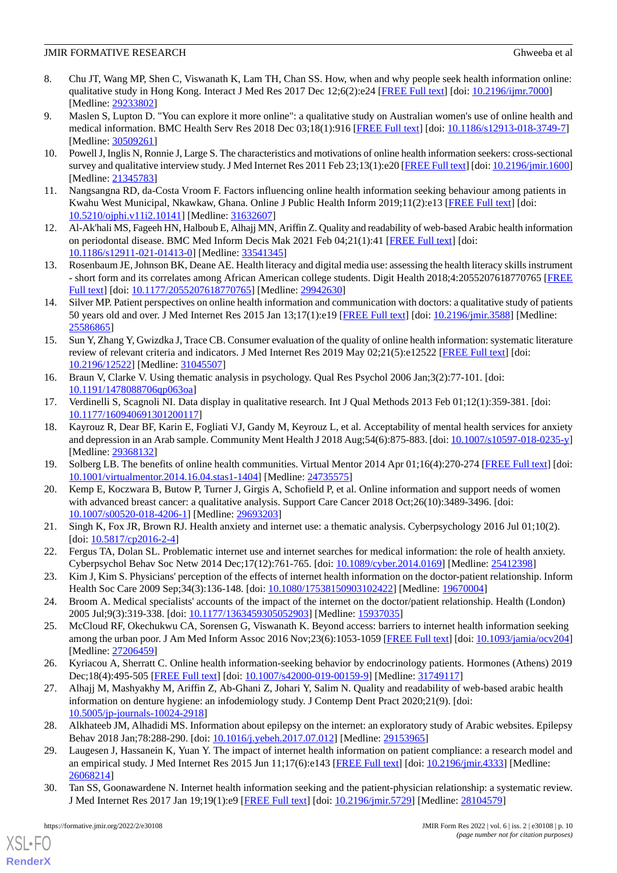- <span id="page-10-0"></span>8. Chu JT, Wang MP, Shen C, Viswanath K, Lam TH, Chan SS. How, when and why people seek health information online: qualitative study in Hong Kong. Interact J Med Res 2017 Dec 12;6(2):e24 [\[FREE Full text\]](https://www.i-jmr.org/2017/2/e24/) [doi: [10.2196/ijmr.7000\]](http://dx.doi.org/10.2196/ijmr.7000) [Medline: [29233802](http://www.ncbi.nlm.nih.gov/entrez/query.fcgi?cmd=Retrieve&db=PubMed&list_uids=29233802&dopt=Abstract)]
- <span id="page-10-1"></span>9. Maslen S, Lupton D. "You can explore it more online": a qualitative study on Australian women's use of online health and medical information. BMC Health Serv Res 2018 Dec 03;18(1):916 [\[FREE Full text\]](https://bmchealthservres.biomedcentral.com/articles/10.1186/s12913-018-3749-7) [doi: [10.1186/s12913-018-3749-7](http://dx.doi.org/10.1186/s12913-018-3749-7)] [Medline: [30509261](http://www.ncbi.nlm.nih.gov/entrez/query.fcgi?cmd=Retrieve&db=PubMed&list_uids=30509261&dopt=Abstract)]
- <span id="page-10-2"></span>10. Powell J, Inglis N, Ronnie J, Large S. The characteristics and motivations of online health information seekers: cross-sectional survey and qualitative interview study. J Med Internet Res 2011 Feb 23;13(1):e20 [\[FREE Full text\]](https://www.jmir.org/2011/1/e20/) [doi: [10.2196/jmir.1600](http://dx.doi.org/10.2196/jmir.1600)] [Medline: [21345783](http://www.ncbi.nlm.nih.gov/entrez/query.fcgi?cmd=Retrieve&db=PubMed&list_uids=21345783&dopt=Abstract)]
- <span id="page-10-4"></span><span id="page-10-3"></span>11. Nangsangna RD, da-Costa Vroom F. Factors influencing online health information seeking behaviour among patients in Kwahu West Municipal, Nkawkaw, Ghana. Online J Public Health Inform 2019;11(2):e13 [[FREE Full text](http://europepmc.org/abstract/MED/31632607)] [doi: [10.5210/ojphi.v11i2.10141](http://dx.doi.org/10.5210/ojphi.v11i2.10141)] [Medline: [31632607\]](http://www.ncbi.nlm.nih.gov/entrez/query.fcgi?cmd=Retrieve&db=PubMed&list_uids=31632607&dopt=Abstract)
- <span id="page-10-5"></span>12. Al-Ak'hali MS, Fageeh HN, Halboub E, Alhajj MN, Ariffin Z. Quality and readability of web-based Arabic health information on periodontal disease. BMC Med Inform Decis Mak 2021 Feb 04;21(1):41 [[FREE Full text](https://bmcmedinformdecismak.biomedcentral.com/articles/10.1186/s12911-021-01413-0)] [doi: [10.1186/s12911-021-01413-0\]](http://dx.doi.org/10.1186/s12911-021-01413-0) [Medline: [33541345\]](http://www.ncbi.nlm.nih.gov/entrez/query.fcgi?cmd=Retrieve&db=PubMed&list_uids=33541345&dopt=Abstract)
- <span id="page-10-6"></span>13. Rosenbaum JE, Johnson BK, Deane AE. Health literacy and digital media use: assessing the health literacy skills instrument - short form and its correlates among African American college students. Digit Health 2018;4:2055207618770765 [\[FREE](https://journals.sagepub.com/doi/10.1177/2055207618770765?url_ver=Z39.88-2003&rfr_id=ori:rid:crossref.org&rfr_dat=cr_pub%3dpubmed) [Full text\]](https://journals.sagepub.com/doi/10.1177/2055207618770765?url_ver=Z39.88-2003&rfr_id=ori:rid:crossref.org&rfr_dat=cr_pub%3dpubmed) [doi: [10.1177/2055207618770765](http://dx.doi.org/10.1177/2055207618770765)] [Medline: [29942630](http://www.ncbi.nlm.nih.gov/entrez/query.fcgi?cmd=Retrieve&db=PubMed&list_uids=29942630&dopt=Abstract)]
- <span id="page-10-7"></span>14. Silver MP. Patient perspectives on online health information and communication with doctors: a qualitative study of patients 50 years old and over. J Med Internet Res 2015 Jan 13;17(1):e19 [[FREE Full text](https://www.jmir.org/2015/1/e19/)] [doi: [10.2196/jmir.3588](http://dx.doi.org/10.2196/jmir.3588)] [Medline: [25586865](http://www.ncbi.nlm.nih.gov/entrez/query.fcgi?cmd=Retrieve&db=PubMed&list_uids=25586865&dopt=Abstract)]
- <span id="page-10-8"></span>15. Sun Y, Zhang Y, Gwizdka J, Trace CB. Consumer evaluation of the quality of online health information: systematic literature review of relevant criteria and indicators. J Med Internet Res 2019 May 02;21(5):e12522 [\[FREE Full text\]](https://www.jmir.org/2019/5/e12522/) [doi: [10.2196/12522\]](http://dx.doi.org/10.2196/12522) [Medline: [31045507\]](http://www.ncbi.nlm.nih.gov/entrez/query.fcgi?cmd=Retrieve&db=PubMed&list_uids=31045507&dopt=Abstract)
- <span id="page-10-10"></span><span id="page-10-9"></span>16. Braun V, Clarke V. Using thematic analysis in psychology. Qual Res Psychol 2006 Jan;3(2):77-101. [doi: [10.1191/1478088706qp063oa](http://dx.doi.org/10.1191/1478088706qp063oa)]
- 17. Verdinelli S, Scagnoli NI. Data display in qualitative research. Int J Qual Methods 2013 Feb 01;12(1):359-381. [doi: [10.1177/160940691301200117\]](http://dx.doi.org/10.1177/160940691301200117)
- <span id="page-10-12"></span><span id="page-10-11"></span>18. Kayrouz R, Dear BF, Karin E, Fogliati VJ, Gandy M, Keyrouz L, et al. Acceptability of mental health services for anxiety and depression in an Arab sample. Community Ment Health J 2018 Aug; 54(6): 875-883. [doi: [10.1007/s10597-018-0235-y](http://dx.doi.org/10.1007/s10597-018-0235-y)] [Medline: [29368132](http://www.ncbi.nlm.nih.gov/entrez/query.fcgi?cmd=Retrieve&db=PubMed&list_uids=29368132&dopt=Abstract)]
- <span id="page-10-13"></span>19. Solberg LB. The benefits of online health communities. Virtual Mentor 2014 Apr 01;16(4):270-274 [\[FREE Full text](https://journalofethics.ama-assn.org/article/benefits-online-health-communities/2014-04)] [doi: [10.1001/virtualmentor.2014.16.04.stas1-1404](http://dx.doi.org/10.1001/virtualmentor.2014.16.04.stas1-1404)] [Medline: [24735575\]](http://www.ncbi.nlm.nih.gov/entrez/query.fcgi?cmd=Retrieve&db=PubMed&list_uids=24735575&dopt=Abstract)
- <span id="page-10-14"></span>20. Kemp E, Koczwara B, Butow P, Turner J, Girgis A, Schofield P, et al. Online information and support needs of women with advanced breast cancer: a qualitative analysis. Support Care Cancer 2018 Oct;26(10):3489-3496. [doi: [10.1007/s00520-018-4206-1\]](http://dx.doi.org/10.1007/s00520-018-4206-1) [Medline: [29693203](http://www.ncbi.nlm.nih.gov/entrez/query.fcgi?cmd=Retrieve&db=PubMed&list_uids=29693203&dopt=Abstract)]
- <span id="page-10-15"></span>21. Singh K, Fox JR, Brown RJ. Health anxiety and internet use: a thematic analysis. Cyberpsychology 2016 Jul 01;10(2). [doi: [10.5817/cp2016-2-4](http://dx.doi.org/10.5817/cp2016-2-4)]
- <span id="page-10-16"></span>22. Fergus TA, Dolan SL. Problematic internet use and internet searches for medical information: the role of health anxiety. Cyberpsychol Behav Soc Netw 2014 Dec;17(12):761-765. [doi: [10.1089/cyber.2014.0169](http://dx.doi.org/10.1089/cyber.2014.0169)] [Medline: [25412398](http://www.ncbi.nlm.nih.gov/entrez/query.fcgi?cmd=Retrieve&db=PubMed&list_uids=25412398&dopt=Abstract)]
- <span id="page-10-17"></span>23. Kim J, Kim S. Physicians' perception of the effects of internet health information on the doctor-patient relationship. Inform Health Soc Care 2009 Sep;34(3):136-148. [doi: [10.1080/17538150903102422](http://dx.doi.org/10.1080/17538150903102422)] [Medline: [19670004](http://www.ncbi.nlm.nih.gov/entrez/query.fcgi?cmd=Retrieve&db=PubMed&list_uids=19670004&dopt=Abstract)]
- <span id="page-10-18"></span>24. Broom A. Medical specialists' accounts of the impact of the internet on the doctor/patient relationship. Health (London) 2005 Jul;9(3):319-338. [doi: [10.1177/1363459305052903\]](http://dx.doi.org/10.1177/1363459305052903) [Medline: [15937035\]](http://www.ncbi.nlm.nih.gov/entrez/query.fcgi?cmd=Retrieve&db=PubMed&list_uids=15937035&dopt=Abstract)
- <span id="page-10-19"></span>25. McCloud RF, Okechukwu CA, Sorensen G, Viswanath K. Beyond access: barriers to internet health information seeking among the urban poor. J Am Med Inform Assoc 2016 Nov;23(6):1053-1059 [\[FREE Full text](http://europepmc.org/abstract/MED/27206459)] [doi: [10.1093/jamia/ocv204](http://dx.doi.org/10.1093/jamia/ocv204)] [Medline: [27206459](http://www.ncbi.nlm.nih.gov/entrez/query.fcgi?cmd=Retrieve&db=PubMed&list_uids=27206459&dopt=Abstract)]
- <span id="page-10-20"></span>26. Kyriacou A, Sherratt C. Online health information-seeking behavior by endocrinology patients. Hormones (Athens) 2019 Dec;18(4):495-505 [\[FREE Full text](http://europepmc.org/abstract/MED/31749117)] [doi: [10.1007/s42000-019-00159-9\]](http://dx.doi.org/10.1007/s42000-019-00159-9) [Medline: [31749117\]](http://www.ncbi.nlm.nih.gov/entrez/query.fcgi?cmd=Retrieve&db=PubMed&list_uids=31749117&dopt=Abstract)
- <span id="page-10-21"></span>27. Alhajj M, Mashyakhy M, Ariffin Z, Ab-Ghani Z, Johari Y, Salim N. Quality and readability of web-based arabic health information on denture hygiene: an infodemiology study. J Contemp Dent Pract 2020;21(9). [doi: [10.5005/jp-journals-10024-2918\]](http://dx.doi.org/10.5005/jp-journals-10024-2918)
- <span id="page-10-22"></span>28. Alkhateeb JM, Alhadidi MS. Information about epilepsy on the internet: an exploratory study of Arabic websites. Epilepsy Behav 2018 Jan;78:288-290. [doi: [10.1016/j.yebeh.2017.07.012](http://dx.doi.org/10.1016/j.yebeh.2017.07.012)] [Medline: [29153965](http://www.ncbi.nlm.nih.gov/entrez/query.fcgi?cmd=Retrieve&db=PubMed&list_uids=29153965&dopt=Abstract)]
- 29. Laugesen J, Hassanein K, Yuan Y. The impact of internet health information on patient compliance: a research model and an empirical study. J Med Internet Res 2015 Jun 11;17(6):e143 [\[FREE Full text\]](https://www.jmir.org/2015/6/e143/) [doi: [10.2196/jmir.4333\]](http://dx.doi.org/10.2196/jmir.4333) [Medline: [26068214](http://www.ncbi.nlm.nih.gov/entrez/query.fcgi?cmd=Retrieve&db=PubMed&list_uids=26068214&dopt=Abstract)]
- 30. Tan SS, Goonawardene N. Internet health information seeking and the patient-physician relationship: a systematic review. J Med Internet Res 2017 Jan 19;19(1):e9 [[FREE Full text](https://www.jmir.org/2017/1/e9/)] [doi: [10.2196/jmir.5729](http://dx.doi.org/10.2196/jmir.5729)] [Medline: [28104579\]](http://www.ncbi.nlm.nih.gov/entrez/query.fcgi?cmd=Retrieve&db=PubMed&list_uids=28104579&dopt=Abstract)

[XSL](http://www.w3.org/Style/XSL)•FO **[RenderX](http://www.renderx.com/)**